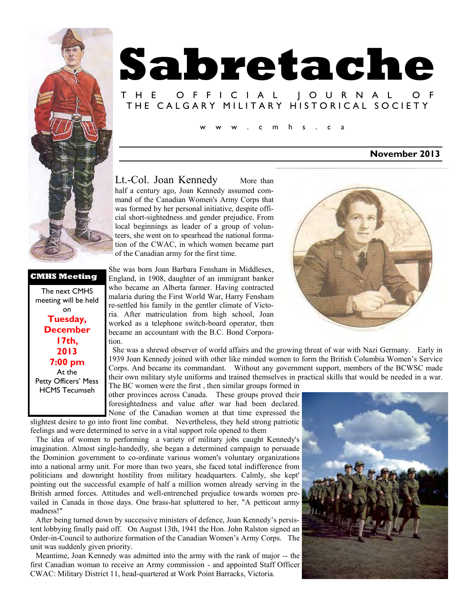

### **CMHS Meeting**

The next CMHS meeting will be held on **Tuesday, December 17th, 2013 7:00 pm**  At the Petty Officers' Mess HCMS Tecumseh

# **Sabretache**

# T H E O F F I C I A L J O U R N A L THE CALGARY MILITARY HISTORICAL SOCIETY

 $m$  h s . c a

### **November 2013**

Lt.-Col. Joan Kennedy More than half a century ago, Joan Kennedy assumed command of the Canadian Women's Army Corps that was formed by her personal initiative, despite official short-sightedness and gender prejudice. From local beginnings as leader of a group of volunteers, she went on to spearhead the national formation of the CWAC, in which women became part of the Canadian army for the first time.

She was born Joan Barbara Fensham in Middlesex, England, in 1908, daughter of an immigrant banker who became an Alberta farmer. Having contracted malaria during the First World War, Harry Fensham re-settled his family in the gentler climate of Victoria. After matriculation from high school, Joan worked as a telephone switch-board operator, then became an accountant with the B.C. Bond Corporation.

 She was a shrewd observer of world affairs and the growing threat of war with Nazi Germany. Early in 1939 Joan Kennedy joined with other like minded women to form the British Columbia Women's Service Corps. And became its commandant. Without any government support, members of the BCWSC made their own military style uniforms and trained themselves in practical skills that would be needed in a war.

The BC women were the first , then similar groups formed in other provinces across Canada. These groups proved their foresightedness and value after war had been declared. None of the Canadian women at that time expressed the slightest desire to go into front line combat. Nevertheless, they held strong patriotic

feelings and were determined to serve in a vital support role opened to them

The idea of women to performing a variety of military jobs caught Kennedy's imagination. Almost single-handedly, she began a determined campaign to persuade the Dominion government to co-ordinate various women's voluntary organizations into a national army unit. For more than two years, she faced total indifference from politicians and downright hostility from military headquarters. Calmly, she kept' pointing out the successful example of half a million women already serving in the British armed forces. Attitudes and well-entrenched prejudice towards women prevailed in Canada in those days. One brass-hat spluttered to her, "A petticoat army madness!"

After being turned down by successive ministers of defence, Joan Kennedy's persistent lobbying finally paid off. On August 13th, 1941 the Hon. John Ralston signed an Order-in-Council to authorize formation of the Canadian Women's Army Corps. The unit was suddenly given priority.

Meantime, Joan Kennedy was admitted into the army with the rank of major -- the first Canadian woman to receive an Army commission - and appointed Staff Officer CWAC: Military District 11, head-quartered at Work Point Barracks, Victoria.



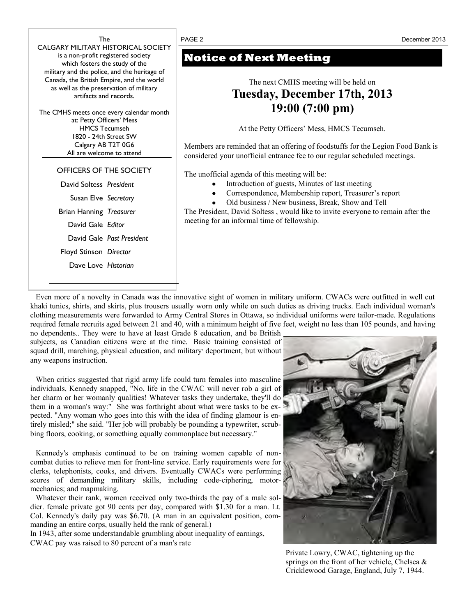

# **Notice of Next Meeting**

# The next CMHS meeting will be held on **Tuesday, December 17th, 2013 19:00 (7:00 pm)**

At the Petty Officers' Mess, HMCS Tecumseh.

Members are reminded that an offering of foodstuffs for the Legion Food Bank is considered your unofficial entrance fee to our regular scheduled meetings*.* 

The unofficial agenda of this meeting will be:

- Introduction of guests, Minutes of last meeting
- Correspondence, Membership report, Treasurer's report
- Old business / New business, Break, Show and Tell

The President, David Soltess , would like to invite everyone to remain after the meeting for an informal time of fellowship.

Even more of a novelty in Canada was the innovative sight of women in military uniform. CWACs were outfitted in well cut khaki tunics, shirts, and skirts, plus trousers usually worn only while on such duties as driving trucks. Each individual woman's clothing measurements were forwarded to Army Central Stores in Ottawa, so individual uniforms were tailor-made. Regulations required female recruits aged between 21 and 40, with a minimum height of five feet, weight no less than 105 pounds, and having

no dependents.. They were to have at least Grade 8 education, and be British subjects, as Canadian citizens were at the time. Basic training consisted of squad drill, marching, physical education, and military' deportment, but without any weapons instruction.

When critics suggested that rigid army life could turn females into masculine individuals, Kennedy snapped, "No, life in the CWAC will never rob a girl of her charm or her womanly qualities! Whatever tasks they undertake, they'll do them in a woman's way:" She was forthright about what were tasks to be expected. "Any woman who goes into this with the idea of finding glamour is entirely misled;" she said. "Her job will probably be pounding a typewriter, scrubbing floors, cooking, or something equally commonplace but necessary."

Kennedy's emphasis continued to be on training women capable of noncombat duties to relieve men for front-line service. Early requirements were for clerks, telephonists, cooks, and drivers. Eventually CWACs were performing scores of demanding military skills, including code-ciphering, motormechanics; and mapmaking.

Whatever their rank, women received only two-thirds the pay of a male soldier. female private got 90 cents per day, compared with \$1.30 for a man. Lt. Col. Kennedy's daily pay was \$6.70. (A man in an equivalent position, commanding an entire corps, usually held the rank of general.)

In 1943, after some understandable grumbling about inequality of earnings, CWAC pay was raised to 80 percent of a man's rate



Private Lowry, CWAC, tightening up the springs on the front of her vehicle, Chelsea & Cricklewood Garage, England, July 7, 1944.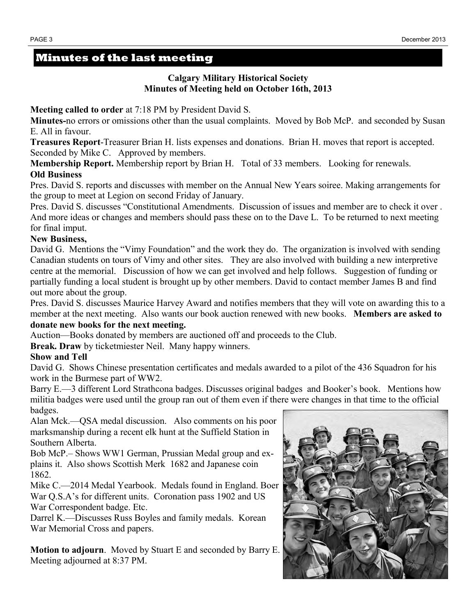# **Minutes of the last meeting**

## **Calgary Military Historical Society Minutes of Meeting held on October 16th, 2013**

**Meeting called to order** at 7:18 PM by President David S.

**Minutes-**no errors or omissions other than the usual complaints. Moved by Bob McP. and seconded by Susan E. All in favour.

**Treasures Report**-Treasurer Brian H. lists expenses and donations. Brian H. moves that report is accepted. Seconded by Mike C. Approved by members.

**Membership Report.** Membership report by Brian H. Total of 33 members. Looking for renewals. **Old Business** 

Pres. David S. reports and discusses with member on the Annual New Years soiree. Making arrangements for the group to meet at Legion on second Friday of January.

Pres. David S. discusses "Constitutional Amendments. Discussion of issues and member are to check it over . And more ideas or changes and members should pass these on to the Dave L. To be returned to next meeting for final imput.

### **New Business,**

David G. Mentions the "Vimy Foundation" and the work they do. The organization is involved with sending Canadian students on tours of Vimy and other sites. They are also involved with building a new interpretive centre at the memorial. Discussion of how we can get involved and help follows. Suggestion of funding or partially funding a local student is brought up by other members. David to contact member James B and find out more about the group.

Pres. David S. discusses Maurice Harvey Award and notifies members that they will vote on awarding this to a member at the next meeting. Also wants our book auction renewed with new books. **Members are asked to donate new books for the next meeting.**

Auction—Books donated by members are auctioned off and proceeds to the Club.

**Break. Draw** by ticketmiester Neil. Many happy winners.

### **Show and Tell**

David G. Shows Chinese presentation certificates and medals awarded to a pilot of the 436 Squadron for his work in the Burmese part of WW2.

Barry E.—3 different Lord Strathcona badges. Discusses original badges and Booker's book. Mentions how militia badges were used until the group ran out of them even if there were changes in that time to the official badges.

Alan Mck.—QSA medal discussion. Also comments on his poor marksmanship during a recent elk hunt at the Suffield Station in Southern Alberta.

Bob McP.– Shows WW1 German, Prussian Medal group and explains it. Also shows Scottish Merk 1682 and Japanese coin 1862.

Mike C.—2014 Medal Yearbook. Medals found in England. Boer War Q.S.A's for different units. Coronation pass 1902 and US War Correspondent badge. Etc.

Darrel K.—Discusses Russ Boyles and family medals. Korean War Memorial Cross and papers.

**Motion to adjourn**. Moved by Stuart E and seconded by Barry E. Meeting adjourned at 8:37 PM.